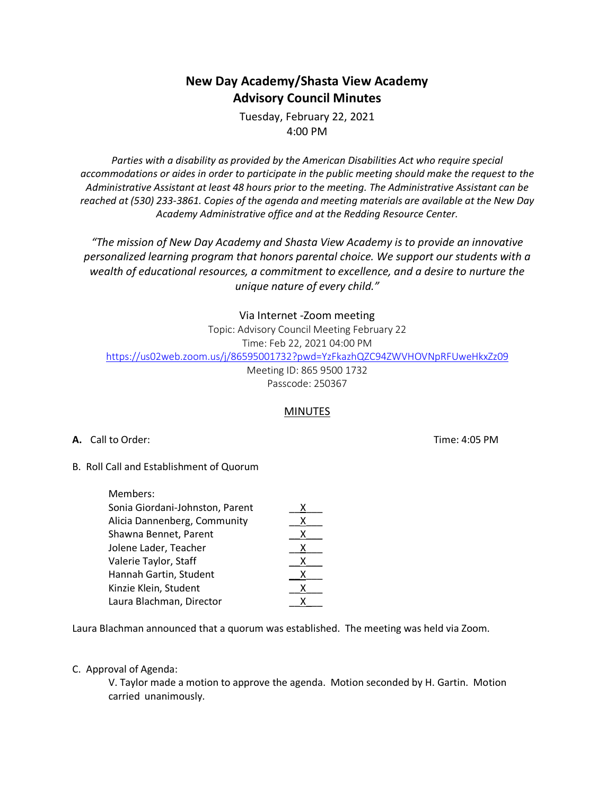# **New Day Academy/Shasta View Academy Advisory Council Minutes**

Tuesday, February 22, 2021 4:00 PM

*Parties with a disability as provided by the American Disabilities Act who require special accommodations or aides in order to participate in the public meeting should make the request to the Administrative Assistant at least 48 hours prior to the meeting. The Administrative Assistant can be reached at (530) 233-3861. Copies of the agenda and meeting materials are available at the New Day Academy Administrative office and at the Redding Resource Center.*

*"The mission of New Day Academy and Shasta View Academy is to provide an innovative personalized learning program that honors parental choice. We support our students with a wealth of educational resources, a commitment to excellence, and a desire to nurture the unique nature of every child."*

Via Internet -Zoom meeting

Topic: Advisory Council Meeting February 22

Time: Feb 22, 2021 04:00 PM

https://us02web.zoom.us/j/86595001732?pwd=YzFkazhQZC94ZWVHOVNpRFUweHkxZz09

Meeting ID: 865 9500 1732 Passcode: 250367

# **MINUTES**

**A.** Call to Order: Time: 4:05 PM

B. Roll Call and Establishment of Quorum

| Members:                        |   |
|---------------------------------|---|
| Sonia Giordani-Johnston, Parent | x |
| Alicia Dannenberg, Community    | х |
| Shawna Bennet, Parent           | x |
| Jolene Lader, Teacher           | х |
| Valerie Taylor, Staff           | x |
| Hannah Gartin, Student          | x |
| Kinzie Klein, Student           | x |
| Laura Blachman, Director        | x |

Laura Blachman announced that a quorum was established. The meeting was held via Zoom.

C. Approval of Agenda:

V. Taylor made a motion to approve the agenda. Motion seconded by H. Gartin. Motion carried unanimously.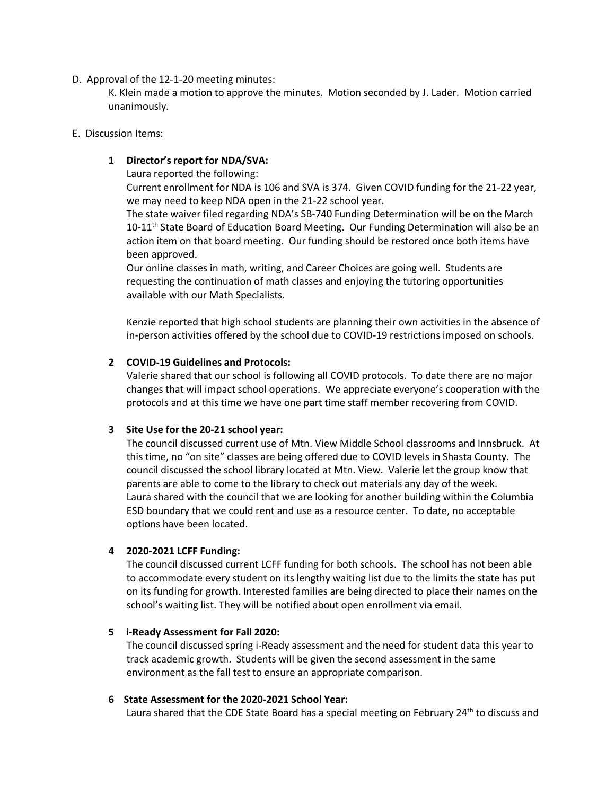## D. Approval of the 12-1-20 meeting minutes:

K. Klein made a motion to approve the minutes. Motion seconded by J. Lader. Motion carried unanimously.

#### E. Discussion Items:

## **1 Director's report for NDA/SVA:**

Laura reported the following:

Current enrollment for NDA is 106 and SVA is 374. Given COVID funding for the 21-22 year, we may need to keep NDA open in the 21-22 school year.

The state waiver filed regarding NDA's SB-740 Funding Determination will be on the March  $10-11<sup>th</sup>$  State Board of Education Board Meeting. Our Funding Determination will also be an action item on that board meeting. Our funding should be restored once both items have been approved.

Our online classes in math, writing, and Career Choices are going well. Students are requesting the continuation of math classes and enjoying the tutoring opportunities available with our Math Specialists.

Kenzie reported that high school students are planning their own activities in the absence of in-person activities offered by the school due to COVID-19 restrictions imposed on schools.

## **2 COVID-19 Guidelines and Protocols:**

Valerie shared that our school is following all COVID protocols. To date there are no major changes that will impact school operations. We appreciate everyone's cooperation with the protocols and at this time we have one part time staff member recovering from COVID.

# **3 Site Use for the 20-21 school year:**

The council discussed current use of Mtn. View Middle School classrooms and Innsbruck. At this time, no "on site" classes are being offered due to COVID levels in Shasta County. The council discussed the school library located at Mtn. View. Valerie let the group know that parents are able to come to the library to check out materials any day of the week. Laura shared with the council that we are looking for another building within the Columbia ESD boundary that we could rent and use as a resource center. To date, no acceptable options have been located.

## **4 2020-2021 LCFF Funding:**

The council discussed current LCFF funding for both schools. The school has not been able to accommodate every student on its lengthy waiting list due to the limits the state has put on its funding for growth. Interested families are being directed to place their names on the school's waiting list. They will be notified about open enrollment via email.

## **5 i-Ready Assessment for Fall 2020:**

The council discussed spring i-Ready assessment and the need for student data this year to track academic growth. Students will be given the second assessment in the same environment as the fall test to ensure an appropriate comparison.

## **6 State Assessment for the 2020-2021 School Year:**

Laura shared that the CDE State Board has a special meeting on February  $24<sup>th</sup>$  to discuss and